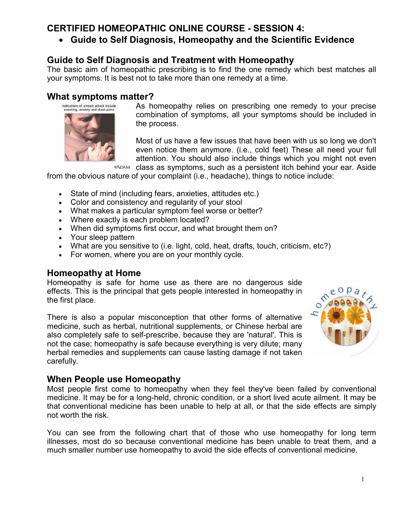# **CERTIFIED HOMEOPATHIC ONLINE COURSE - SESSION 4:**

• **Guide to Self Diagnosis, Homeopathy and the Scientific Evidence** 

## **Guide to Self Diagnosis and Treatment with Homeopathy**

The basic aim of homeopathic prescribing is to find the one remedy which best matches all your symptoms. It is best not to take more than one remedy at a time.

#### **What symptoms matter?**



As homeopathy relies on prescribing one remedy to your precise combination of symptoms, all your symptoms should be included in the process.

Most of us have a few issues that have been with us so long we don't even notice them anymore. (i.e., cold feet) These all need your full attention. You should also include things which you might not even class as symptoms, such as a persistent itch behind your ear. Aside

from the obvious nature of your complaint (i.e., headache), things to notice include:

- State of mind (including fears, anxieties, attitudes etc.)
- Color and consistency and regularity of your stool
- What makes a particular symptom feel worse or better?
- Where exactly is each problem located?
- When did symptoms first occur, and what brought them on?
- Your sleep pattern
- What are you sensitive to (i.e. light, cold, heat, drafts, touch, criticism, etc?)
- For women, where you are on your monthly cycle.

## **Homeopathy at Home**

Homeopathy is safe for home use as there are no dangerous side effects. This is the principal that gets people interested in homeopathy in the first place.

There is also a popular misconception that other forms of alternative medicine, such as herbal, nutritional supplements, or Chinese herbal are also completely safe to self-prescribe, because they are 'natural'. This is not the case; homeopathy is safe because everything is very dilute; many herbal remedies and supplements can cause lasting damage if not taken carefully.



## **When People use Homeopathy**

Most people first come to homeopathy when they feel they've been failed by conventional medicine. It may be for a long-held, chronic condition, or a short lived acute ailment. It may be that conventional medicine has been unable to help at all, or that the side effects are simply not worth the risk.

You can see from the following chart that of those who use homeopathy for long term illnesses, most do so because conventional medicine has been unable to treat them, and a much smaller number use homeopathy to avoid the side effects of conventional medicine.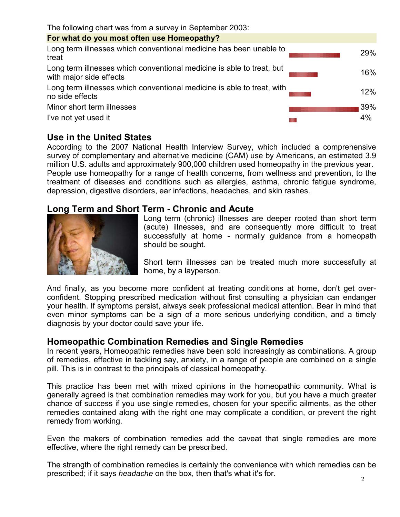The following chart was from a survey in September 2003:

#### **For what do you most often use Homeopathy?**

Long term illnesses which conventional medicine has been unable to treat 29%

Long term illnesses which conventional medicine is able to treat, but 16%<br>with major side effects

Long term illnesses which conventional medicine is able to treat, with no side effects 12%

Minor short term illnesses 39%

I've not yet used it a set of the set of the set of the set of the set of the set of the set of the set of the set of the set of the set of the set of the set of the set of the set of the set of the set of the set of the s

## **Use in the United States**

According to the 2007 National Health Interview Survey, which included a comprehensive survey of complementary and alternative medicine (CAM) use by Americans, an estimated 3.9 million U.S. adults and approximately 900,000 children used homeopathy in the previous year. People use homeopathy for a range of health concerns, from wellness and prevention, to the treatment of diseases and conditions such as allergies, asthma, chronic fatigue syndrome, depression, digestive disorders, ear infections, headaches, and skin rashes.

## **Long Term and Short Term - Chronic and Acute**



Long term (chronic) illnesses are deeper rooted than short term (acute) illnesses, and are consequently more difficult to treat successfully at home - normally guidance from a homeopath should be sought.

Short term illnesses can be treated much more successfully at home, by a layperson.

And finally, as you become more confident at treating conditions at home, don't get overconfident. Stopping prescribed medication without first consulting a physician can endanger your health. If symptoms persist, always seek professional medical attention. Bear in mind that even minor symptoms can be a sign of a more serious underlying condition, and a timely diagnosis by your doctor could save your life.

### **Homeopathic Combination Remedies and Single Remedies**

In recent years, Homeopathic remedies have been sold increasingly as combinations. A group of remedies, effective in tackling say, anxiety, in a range of people are combined on a single pill. This is in contrast to the principals of classical homeopathy.

This practice has been met with mixed opinions in the homeopathic community. What is generally agreed is that combination remedies may work for you, but you have a much greater chance of success if you use single remedies, chosen for your specific ailments, as the other remedies contained along with the right one may complicate a condition, or prevent the right remedy from working.

Even the makers of combination remedies add the caveat that single remedies are more effective, where the right remedy can be prescribed.

The strength of combination remedies is certainly the convenience with which remedies can be prescribed; if it says *headache* on the box, then that's what it's for.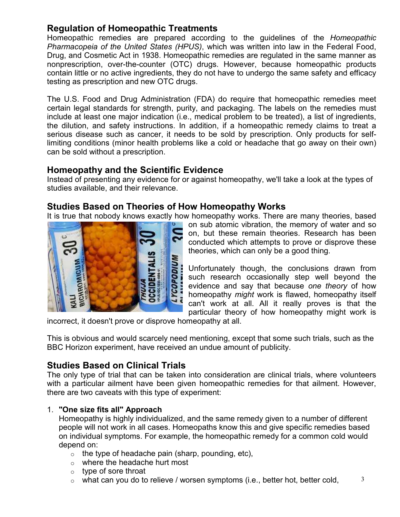# **Regulation of Homeopathic Treatments**

Homeopathic remedies are prepared according to the guidelines of the *Homeopathic Pharmacopeia of the United States (HPUS)*, which was written into law in the Federal Food, Drug, and Cosmetic Act in 1938. Homeopathic remedies are regulated in the same manner as nonprescription, over-the-counter (OTC) drugs. However, because homeopathic products contain little or no active ingredients, they do not have to undergo the same safety and efficacy testing as prescription and new OTC drugs.

The U.S. Food and Drug Administration (FDA) do require that homeopathic remedies meet certain legal standards for strength, purity, and packaging. The labels on the remedies must include at least one major indication (i.e., medical problem to be treated), a list of ingredients, the dilution, and safety instructions. In addition, if a homeopathic remedy claims to treat a serious disease such as cancer, it needs to be sold by prescription. Only products for selflimiting conditions (minor health problems like a cold or headache that go away on their own) can be sold without a prescription.

### **Homeopathy and the Scientific Evidence**

Instead of presenting any evidence for or against homeopathy, we'll take a look at the types of studies available, and their relevance.

## **Studies Based on Theories of How Homeopathy Works**

It is true that nobody knows exactly how homeopathy works. There are many theories, based



on sub atomic vibration, the memory of water and so on, but these remain theories. Research has been conducted which attempts to prove or disprove these theories, which can only be a good thing.

Unfortunately though, the conclusions drawn from such research occasionally step well beyond the evidence and say that because *one theory* of how homeopathy *might* work is flawed, homeopathy itself can't work at all. All it really proves is that the particular theory of how homeopathy might work is

incorrect, it doesn't prove or disprove homeopathy at all.

This is obvious and would scarcely need mentioning, except that some such trials, such as the BBC Horizon experiment, have received an undue amount of publicity.

## **Studies Based on Clinical Trials**

The only type of trial that can be taken into consideration are clinical trials, where volunteers with a particular ailment have been given homeopathic remedies for that ailment. However, there are two caveats with this type of experiment:

#### 1. **"One size fits all" Approach**

Homeopathy is highly individualized, and the same remedy given to a number of different people will not work in all cases. Homeopaths know this and give specific remedies based on individual symptoms. For example, the homeopathic remedy for a common cold would depend on:

- $\circ$  the type of headache pain (sharp, pounding, etc),
- o where the headache hurt most
- $\circ$  type of sore throat
- $\circ$  what can you do to relieve / worsen symptoms (i.e., better hot, better cold,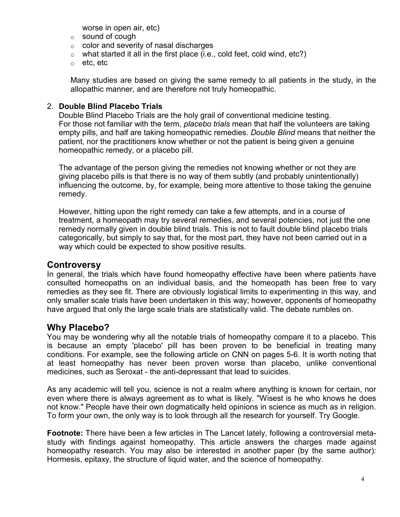worse in open air, etc)

- $\circ$  sound of cough
- $\circ$  color and severity of nasal discharges
- $\circ$  what started it all in the first place (i.e., cold feet, cold wind, etc?)
- o etc, etc

Many studies are based on giving the same remedy to all patients in the study, in the allopathic manner, and are therefore not truly homeopathic.

#### 2. **Double Blind Placebo Trials**

Double Blind Placebo Trials are the holy grail of conventional medicine testing. For those not familiar with the term, *placebo trials* mean that half the volunteers are taking empty pills, and half are taking homeopathic remedies. *Double Blind* means that neither the patient, nor the practitioners know whether or not the patient is being given a genuine homeopathic remedy, or a placebo pill.

The advantage of the person giving the remedies not knowing whether or not they are giving placebo pills is that there is no way of them subtly (and probably unintentionally) influencing the outcome, by, for example, being more attentive to those taking the genuine remedy.

However, hitting upon the right remedy can take a few attempts, and in a course of treatment, a homeopath may try several remedies, and several potencies, not just the one remedy normally given in double blind trials. This is not to fault double blind placebo trials categorically, but simply to say that, for the most part, they have not been carried out in a way which could be expected to show positive results.

### **Controversy**

In general, the trials which have found homeopathy effective have been where patients have consulted homeopaths on an individual basis, and the homeopath has been free to vary remedies as they see fit. There are obviously logistical limits to experimenting in this way, and only smaller scale trials have been undertaken in this way; however, opponents of homeopathy have argued that only the large scale trials are statistically valid. The debate rumbles on.

## **Why Placebo?**

You may be wondering why all the notable trials of homeopathy compare it to a placebo. This is because an empty 'placebo' pill has been proven to be beneficial in treating many conditions. For example, see the following article on CNN on pages 5-6. It is worth noting that at least homeopathy has never been proven worse than placebo, unlike conventional medicines, such as Seroxat - the anti-depressant that lead to suicides.

As any academic will tell you, science is not a realm where anything is known for certain, nor even where there is always agreement as to what is likely. "Wisest is he who knows he does not know." People have their own dogmatically held opinions in science as much as in religion. To form your own, the only way is to look through all the research for yourself. Try Google.

**Footnote:** There have been a few articles in The Lancet lately, following a controversial metastudy with findings against homeopathy. This article answers the charges made against homeopathy research. You may also be interested in another paper (by the same author): Hormesis, epitaxy, the structure of liquid water, and the science of homeopathy.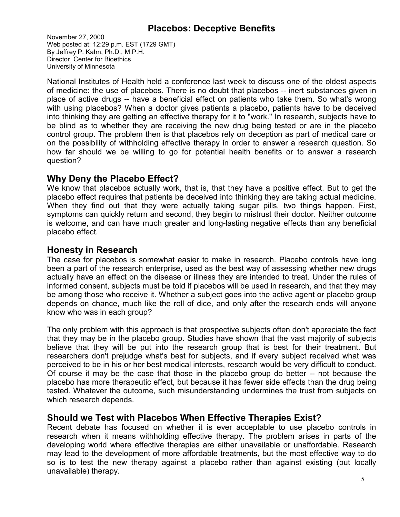# **Placebos: Deceptive Benefits**

November 27, 2000 Web posted at: 12:29 p.m. EST (1729 GMT) By Jeffrey P. Kahn, Ph.D., M.P.H. Director, Center for Bioethics University of Minnesota

National Institutes of Health held a conference last week to discuss one of the oldest aspects of medicine: the use of placebos. There is no doubt that placebos -- inert substances given in place of active drugs -- have a beneficial effect on patients who take them. So what's wrong with using placebos? When a doctor gives patients a placebo, patients have to be deceived into thinking they are getting an effective therapy for it to "work." In research, subjects have to be blind as to whether they are receiving the new drug being tested or are in the placebo control group. The problem then is that placebos rely on deception as part of medical care or on the possibility of withholding effective therapy in order to answer a research question. So how far should we be willing to go for potential health benefits or to answer a research question?

### **Why Deny the Placebo Effect?**

We know that placebos actually work, that is, that they have a positive effect. But to get the placebo effect requires that patients be deceived into thinking they are taking actual medicine. When they find out that they were actually taking sugar pills, two things happen. First, symptoms can quickly return and second, they begin to mistrust their doctor. Neither outcome is welcome, and can have much greater and long-lasting negative effects than any beneficial placebo effect.

### **Honesty in Research**

The case for placebos is somewhat easier to make in research. Placebo controls have long been a part of the research enterprise, used as the best way of assessing whether new drugs actually have an effect on the disease or illness they are intended to treat. Under the rules of informed consent, subjects must be told if placebos will be used in research, and that they may be among those who receive it. Whether a subject goes into the active agent or placebo group depends on chance, much like the roll of dice, and only after the research ends will anyone know who was in each group?

The only problem with this approach is that prospective subjects often don't appreciate the fact that they may be in the placebo group. Studies have shown that the vast majority of subjects believe that they will be put into the research group that is best for their treatment. But researchers don't prejudge what's best for subjects, and if every subject received what was perceived to be in his or her best medical interests, research would be very difficult to conduct. Of course it may be the case that those in the placebo group do better -- not because the placebo has more therapeutic effect, but because it has fewer side effects than the drug being tested. Whatever the outcome, such misunderstanding undermines the trust from subjects on which research depends.

### **Should we Test with Placebos When Effective Therapies Exist?**

Recent debate has focused on whether it is ever acceptable to use placebo controls in research when it means withholding effective therapy. The problem arises in parts of the developing world where effective therapies are either unavailable or unaffordable. Research may lead to the development of more affordable treatments, but the most effective way to do so is to test the new therapy against a placebo rather than against existing (but locally unavailable) therapy.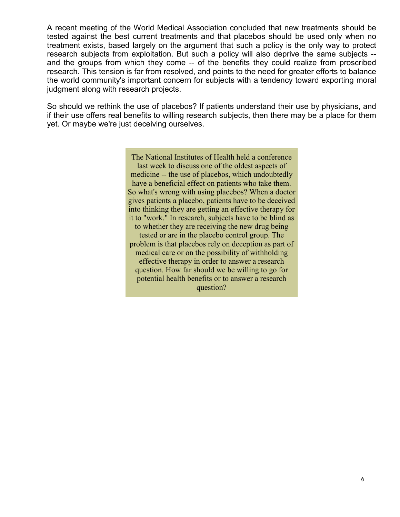A recent meeting of the World Medical Association concluded that new treatments should be tested against the best current treatments and that placebos should be used only when no treatment exists, based largely on the argument that such a policy is the only way to protect research subjects from exploitation. But such a policy will also deprive the same subjects - and the groups from which they come -- of the benefits they could realize from proscribed research. This tension is far from resolved, and points to the need for greater efforts to balance the world community's important concern for subjects with a tendency toward exporting moral judgment along with research projects.

So should we rethink the use of placebos? If patients understand their use by physicians, and if their use offers real benefits to willing research subjects, then there may be a place for them yet. Or maybe we're just deceiving ourselves.

> The National Institutes of Health held a conference last week to discuss one of the oldest aspects of medicine -- the use of placebos, which undoubtedly have a beneficial effect on patients who take them. So what's wrong with using placebos? When a doctor gives patients a placebo, patients have to be deceived into thinking they are getting an effective therapy for it to "work." In research, subjects have to be blind as to whether they are receiving the new drug being tested or are in the placebo control group. The problem is that placebos rely on deception as part of medical care or on the possibility of withholding effective therapy in order to answer a research question. How far should we be willing to go for potential health benefits or to answer a research question?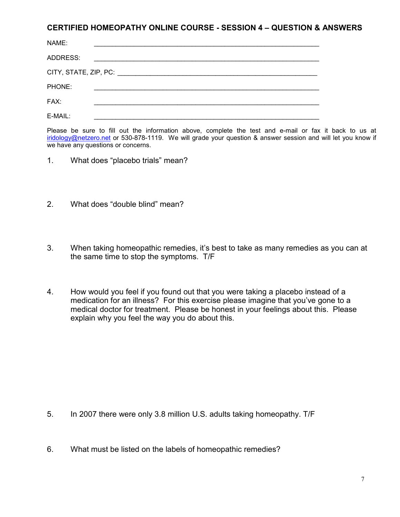#### **CERTIFIED HOMEOPATHY ONLINE COURSE - SESSION 4 – QUESTION & ANSWERS**

| NAME:    |  |
|----------|--|
| ADDRESS: |  |
|          |  |
| PHONE:   |  |
| FAX:     |  |
| E-MAIL:  |  |

Please be sure to fill out the information above, complete the test and e-mail or fax it back to us at iridology@netzero.net or 530-878-1119. We will grade your question & answer session and will let you know if we have any questions or concerns.

- 1. What does "placebo trials" mean?
- 2. What does "double blind" mean?
- 3. When taking homeopathic remedies, it's best to take as many remedies as you can at the same time to stop the symptoms. T/F
- 4. How would you feel if you found out that you were taking a placebo instead of a medication for an illness? For this exercise please imagine that you've gone to a medical doctor for treatment. Please be honest in your feelings about this. Please explain why you feel the way you do about this.

- 5. In 2007 there were only 3.8 million U.S. adults taking homeopathy. T/F
- 6. What must be listed on the labels of homeopathic remedies?